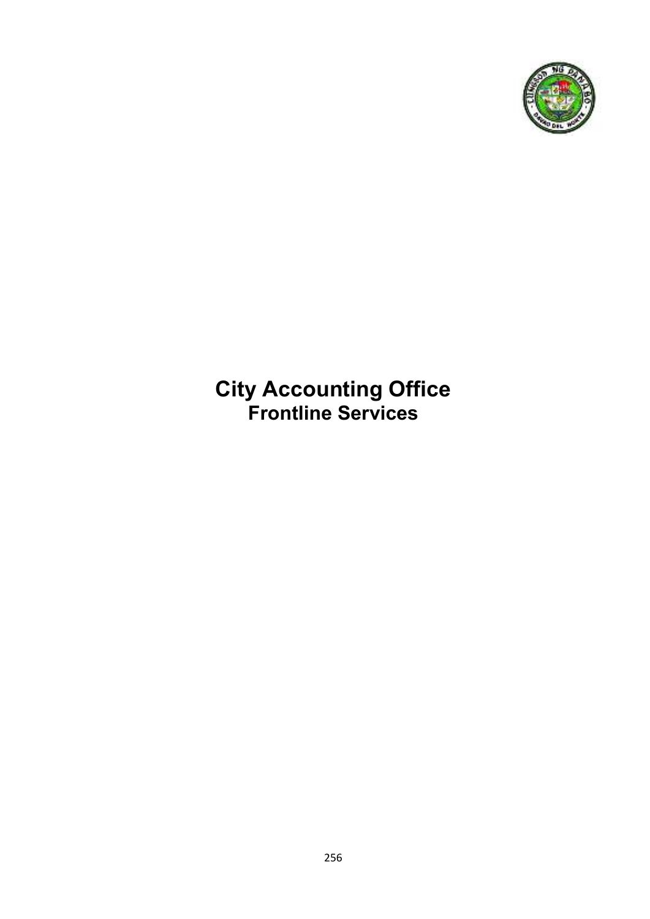

## **City Accounting Office Frontline Services**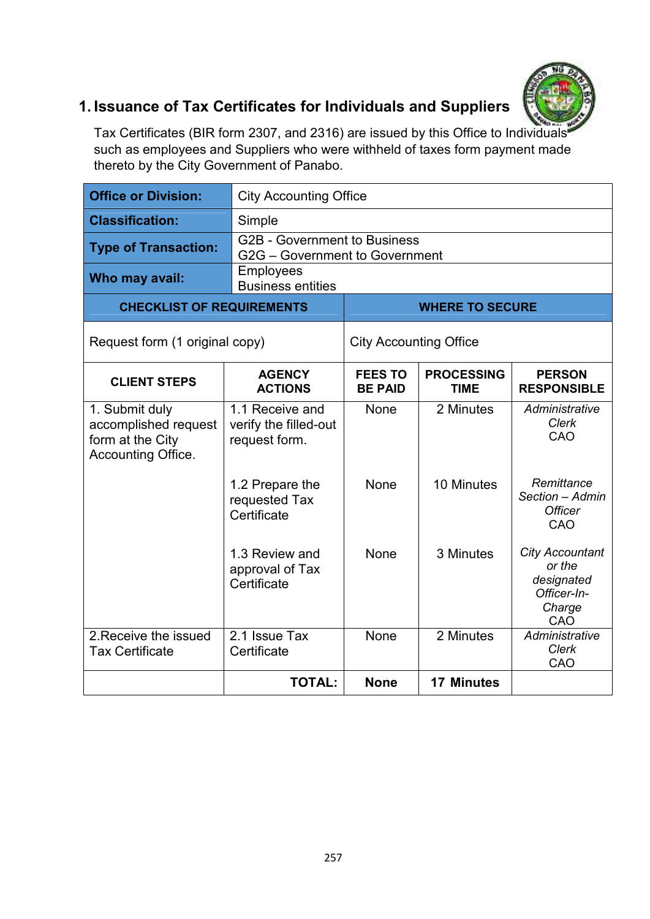

# **1. Issuance of Tax Certificates for Individuals and Suppliers**

Tax Certificates (BIR form 2307, and 2316) are issued by this Office to Individuals such as employees and Suppliers who were withheld of taxes form payment made thereto by the City Government of Panabo.

| <b>Office or Division:</b>                                                       |                                                           | <b>City Accounting Office</b>                                                                               |                        |                                                                                |  |
|----------------------------------------------------------------------------------|-----------------------------------------------------------|-------------------------------------------------------------------------------------------------------------|------------------------|--------------------------------------------------------------------------------|--|
| <b>Classification:</b>                                                           | Simple                                                    |                                                                                                             |                        |                                                                                |  |
| <b>Type of Transaction:</b>                                                      |                                                           | <b>G2B - Government to Business</b><br>G2G - Government to Government                                       |                        |                                                                                |  |
| Who may avail:                                                                   | <b>Employees</b><br><b>Business entities</b>              |                                                                                                             |                        |                                                                                |  |
| <b>CHECKLIST OF REQUIREMENTS</b>                                                 |                                                           |                                                                                                             | <b>WHERE TO SECURE</b> |                                                                                |  |
| Request form (1 original copy)                                                   |                                                           | <b>City Accounting Office</b>                                                                               |                        |                                                                                |  |
| <b>CLIENT STEPS</b>                                                              | <b>AGENCY</b><br><b>ACTIONS</b>                           | <b>PROCESSING</b><br><b>FEES TO</b><br><b>PERSON</b><br><b>BE PAID</b><br><b>RESPONSIBLE</b><br><b>TIME</b> |                        |                                                                                |  |
| 1. Submit duly<br>accomplished request<br>form at the City<br>Accounting Office. | 1.1 Receive and<br>verify the filled-out<br>request form. | <b>None</b>                                                                                                 | 2 Minutes              | Administrative<br>Clerk<br>CAO                                                 |  |
|                                                                                  | 1.2 Prepare the<br>requested Tax<br>Certificate           | None                                                                                                        | 10 Minutes             | Remittance<br>Section - Admin<br><b>Officer</b><br>CAO                         |  |
|                                                                                  | 1.3 Review and<br>approval of Tax<br>Certificate          | None                                                                                                        | 3 Minutes              | <b>City Accountant</b><br>or the<br>designated<br>Officer-In-<br>Charge<br>CAO |  |
| 2. Receive the issued<br><b>Tax Certificate</b>                                  | 2.1 Issue Tax<br>Certificate                              | None                                                                                                        | 2 Minutes              | Administrative<br>Clerk<br>CAO                                                 |  |
|                                                                                  | <b>TOTAL:</b>                                             | <b>None</b>                                                                                                 | <b>17 Minutes</b>      |                                                                                |  |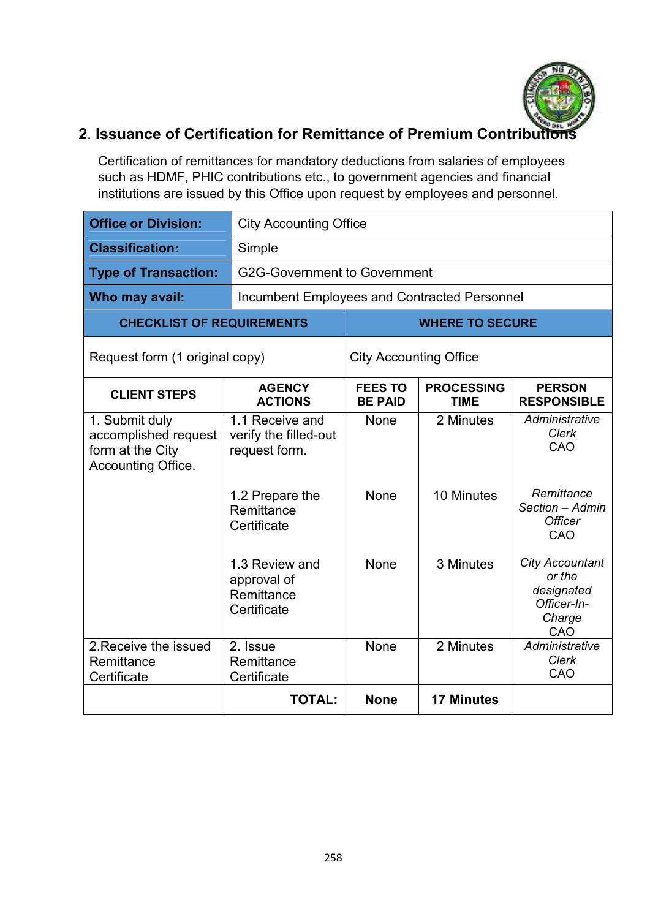

## **2. Issuance of Certification for Remittance of Premium Contribution**

Certification of remittances for mandatory deductions from salaries of employees such as HDMF, PHIC contributions etc., to government agencies and financial institutions are issued by this Office upon request by employees and personnel.

| <b>Office or Division:</b>                                                       |                                                                              | <b>City Accounting Office</b>                                                                               |                         |                                                                                |  |
|----------------------------------------------------------------------------------|------------------------------------------------------------------------------|-------------------------------------------------------------------------------------------------------------|-------------------------|--------------------------------------------------------------------------------|--|
| <b>Classification:</b>                                                           | Simple                                                                       |                                                                                                             |                         |                                                                                |  |
| <b>Type of Transaction:</b>                                                      | <b>G2G-Government to Government</b>                                          |                                                                                                             |                         |                                                                                |  |
| Who may avail:                                                                   | Incumbent Employees and Contracted Personnel                                 |                                                                                                             |                         |                                                                                |  |
| <b>CHECKLIST OF REQUIREMENTS</b>                                                 |                                                                              | <b>WHERE TO SECURE</b>                                                                                      |                         |                                                                                |  |
| Request form (1 original copy)                                                   |                                                                              | <b>City Accounting Office</b>                                                                               |                         |                                                                                |  |
| <b>CLIENT STEPS</b>                                                              | <b>AGENCY</b><br><b>ACTIONS</b>                                              | <b>PROCESSING</b><br><b>FEES TO</b><br><b>PERSON</b><br><b>BE PAID</b><br><b>RESPONSIBLE</b><br><b>TIME</b> |                         |                                                                                |  |
| 1. Submit duly<br>accomplished request<br>form at the City<br>Accounting Office. | 1.1 Receive and<br>verify the filled-out<br>request form.<br>1.2 Prepare the | <b>None</b><br>None                                                                                         | 2 Minutes<br>10 Minutes | Administrative<br>Clerk<br>CAO<br>Remittance                                   |  |
|                                                                                  | Remittance<br>Certificate                                                    |                                                                                                             |                         | Section - Admin<br><b>Officer</b><br>CAO                                       |  |
|                                                                                  | 1.3 Review and<br>approval of<br>Remittance<br>Certificate                   | None                                                                                                        | 3 Minutes               | <b>City Accountant</b><br>or the<br>designated<br>Officer-In-<br>Charge<br>CAO |  |
| 2. Receive the issued<br>Remittance<br>Certificate                               | 2. Issue<br>Remittance<br>Certificate                                        | None                                                                                                        | 2 Minutes               | Administrative<br>Clerk<br>CAO                                                 |  |
|                                                                                  | <b>TOTAL:</b>                                                                | <b>None</b>                                                                                                 | <b>17 Minutes</b>       |                                                                                |  |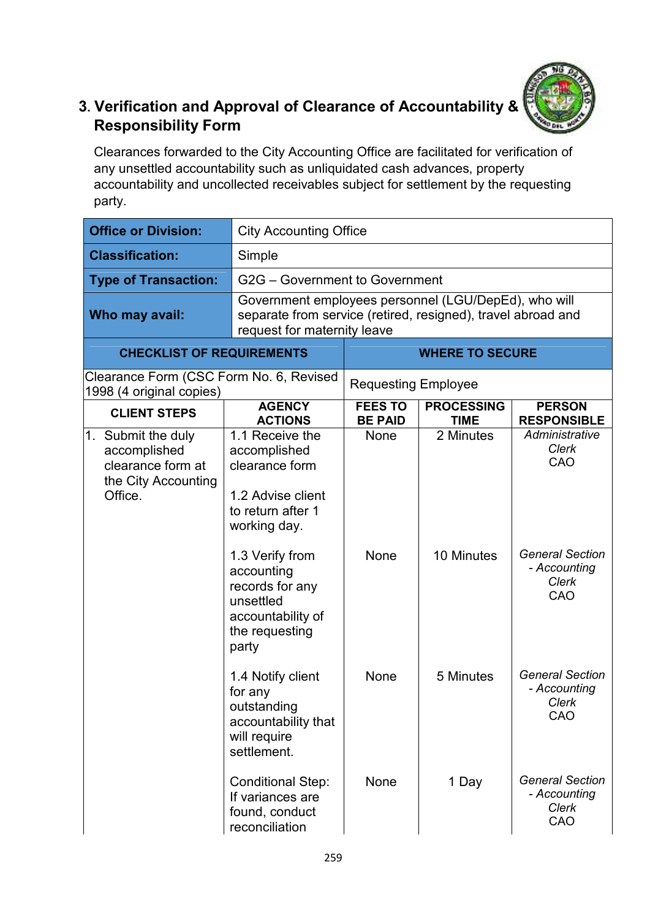

### **3. Verification and Approval of Clearance of Accountability & Responsibility Form**

Clearances forwarded to the City Accounting Office are facilitated for verification of any unsettled accountability such as unliquidated cash advances, property accountability and uncollected receivables subject for settlement by the requesting party.

| <b>Office or Division:</b>                                                                |                                                                                                                                                     | <b>City Accounting Office</b>    |                                  |                                                        |  |
|-------------------------------------------------------------------------------------------|-----------------------------------------------------------------------------------------------------------------------------------------------------|----------------------------------|----------------------------------|--------------------------------------------------------|--|
| <b>Classification:</b>                                                                    | Simple                                                                                                                                              |                                  |                                  |                                                        |  |
| <b>Type of Transaction:</b>                                                               |                                                                                                                                                     | G2G - Government to Government   |                                  |                                                        |  |
| Who may avail:                                                                            | Government employees personnel (LGU/DepEd), who will<br>separate from service (retired, resigned), travel abroad and<br>request for maternity leave |                                  |                                  |                                                        |  |
| <b>CHECKLIST OF REQUIREMENTS</b>                                                          |                                                                                                                                                     | <b>WHERE TO SECURE</b>           |                                  |                                                        |  |
| Clearance Form (CSC Form No. 6, Revised<br>1998 (4 original copies)                       |                                                                                                                                                     | <b>Requesting Employee</b>       |                                  |                                                        |  |
| <b>CLIENT STEPS</b>                                                                       | <b>AGENCY</b><br><b>ACTIONS</b>                                                                                                                     | <b>FEES TO</b><br><b>BE PAID</b> | <b>PROCESSING</b><br><b>TIME</b> | <b>PERSON</b><br><b>RESPONSIBLE</b>                    |  |
| 1. Submit the duly<br>accomplished<br>clearance form at<br>the City Accounting<br>Office. | 1.1 Receive the<br>accomplished<br>clearance form<br>1.2 Advise client<br>to return after 1<br>working day.                                         | None                             | 2 Minutes                        | Administrative<br>Clerk<br>CAO                         |  |
|                                                                                           | 1.3 Verify from<br>accounting<br>records for any<br>unsettled<br>accountability of<br>the requesting<br>party                                       | None                             | 10 Minutes                       | <b>General Section</b><br>- Accounting<br>Clerk<br>CAO |  |
|                                                                                           | 1.4 Notify client<br>for any<br>outstanding<br>accountability that<br>will require<br>settlement.                                                   | None                             | 5 Minutes                        | <b>General Section</b><br>- Accounting<br>Clerk<br>CAO |  |
|                                                                                           | <b>Conditional Step:</b><br>If variances are<br>found, conduct<br>reconciliation                                                                    | None                             | 1 Day                            | <b>General Section</b><br>- Accounting<br>Clerk<br>CAO |  |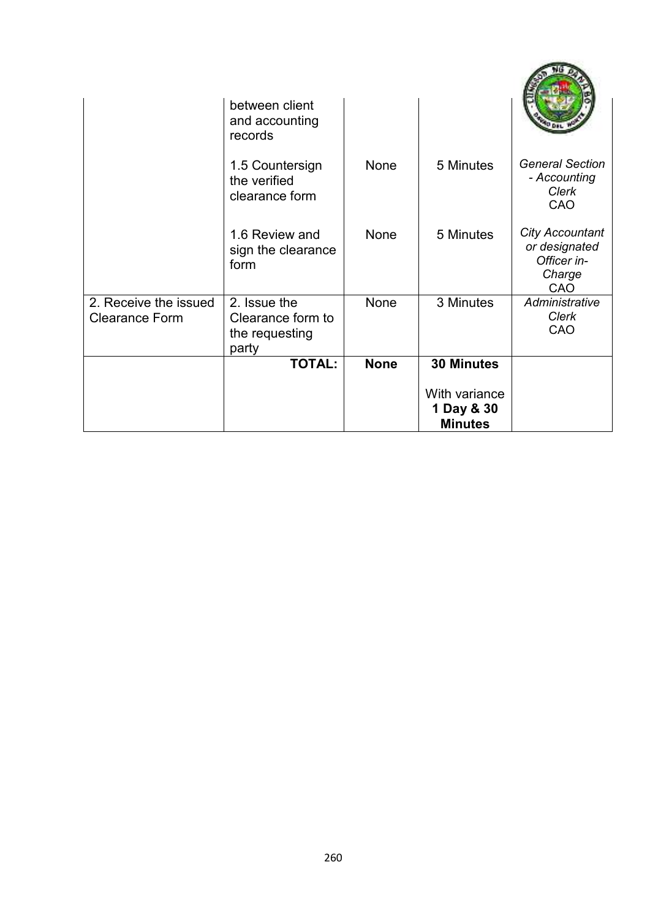|                       | between client<br>and accounting                  |             |                              |                                                                         |
|-----------------------|---------------------------------------------------|-------------|------------------------------|-------------------------------------------------------------------------|
|                       | records                                           |             |                              |                                                                         |
|                       | 1.5 Countersign<br>the verified<br>clearance form | None        | 5 Minutes                    | <b>General Section</b><br>- Accounting<br><b>Clerk</b><br>CAO           |
|                       | 1.6 Review and<br>sign the clearance<br>form      | <b>None</b> | 5 Minutes                    | <b>City Accountant</b><br>or designated<br>Officer in-<br>Charge<br>CAO |
| 2. Receive the issued | 2. Issue the                                      | None        | 3 Minutes                    | Administrative<br>Clerk                                                 |
| <b>Clearance Form</b> | Clearance form to<br>the requesting               |             |                              | CAO                                                                     |
|                       | party<br><b>TOTAL:</b>                            | <b>None</b> | <b>30 Minutes</b>            |                                                                         |
|                       |                                                   |             | With variance                |                                                                         |
|                       |                                                   |             | 1 Day & 30<br><b>Minutes</b> |                                                                         |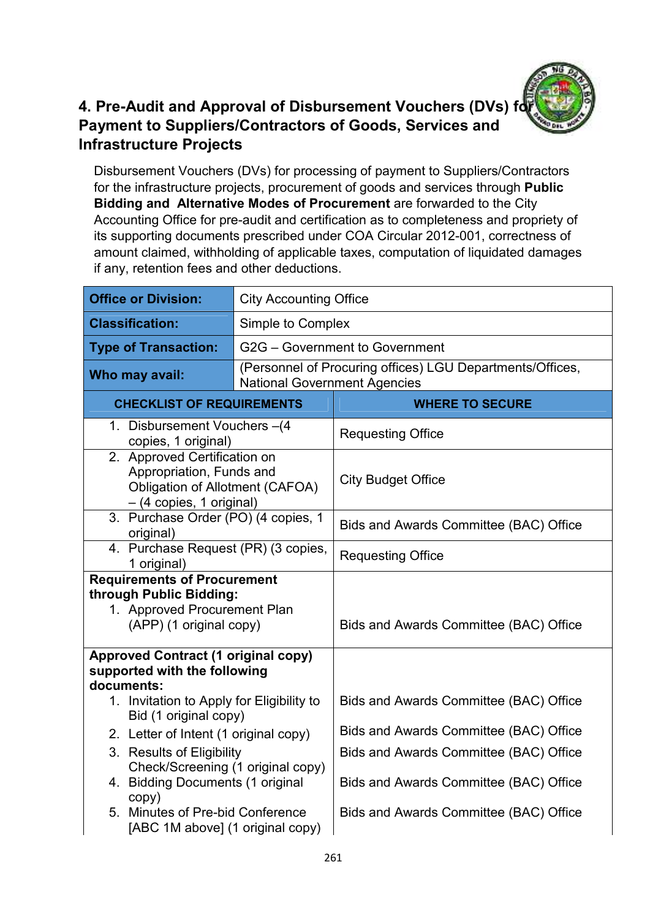

#### **4. Pre-Audit and Approval of Disbursement Vouchers (DVs) for Payment to Suppliers/Contractors of Goods, Services and Infrastructure Projects**

Disbursement Vouchers (DVs) for processing of payment to Suppliers/Contractors for the infrastructure projects, procurement of goods and services through **Public Bidding and Alternative Modes of Procurement** are forwarded to the City Accounting Office for pre-audit and certification as to completeness and propriety of its supporting documents prescribed under COA Circular 2012-001, correctness of amount claimed, withholding of applicable taxes, computation of liquidated damages if any, retention fees and other deductions.

| <b>Office or Division:</b>                                                                                                     | <b>City Accounting Office</b>       |                                                           |  |  |
|--------------------------------------------------------------------------------------------------------------------------------|-------------------------------------|-----------------------------------------------------------|--|--|
| <b>Classification:</b>                                                                                                         | Simple to Complex                   |                                                           |  |  |
| <b>Type of Transaction:</b>                                                                                                    |                                     | G2G - Government to Government                            |  |  |
| Who may avail:                                                                                                                 | <b>National Government Agencies</b> | (Personnel of Procuring offices) LGU Departments/Offices, |  |  |
| <b>CHECKLIST OF REQUIREMENTS</b>                                                                                               |                                     | <b>WHERE TO SECURE</b>                                    |  |  |
| 1. Disbursement Vouchers -(4<br>copies, 1 original)                                                                            |                                     | <b>Requesting Office</b>                                  |  |  |
| 2. Approved Certification on<br>Appropriation, Funds and<br><b>Obligation of Allotment (CAFOA)</b><br>- (4 copies, 1 original) |                                     | <b>City Budget Office</b>                                 |  |  |
| 3. Purchase Order (PO) (4 copies, 1<br>original)                                                                               |                                     | Bids and Awards Committee (BAC) Office                    |  |  |
| 4. Purchase Request (PR) (3 copies,<br>1 original)                                                                             |                                     | <b>Requesting Office</b>                                  |  |  |
| <b>Requirements of Procurement</b><br>through Public Bidding:<br>1. Approved Procurement Plan<br>(APP) (1 original copy)       |                                     | Bids and Awards Committee (BAC) Office                    |  |  |
| <b>Approved Contract (1 original copy)</b><br>supported with the following<br>documents:                                       |                                     |                                                           |  |  |
| 1. Invitation to Apply for Eligibility to<br>Bid (1 original copy)                                                             |                                     | Bids and Awards Committee (BAC) Office                    |  |  |
| 2. Letter of Intent (1 original copy)                                                                                          |                                     | Bids and Awards Committee (BAC) Office                    |  |  |
| 3. Results of Eligibility                                                                                                      |                                     | Bids and Awards Committee (BAC) Office                    |  |  |
| Check/Screening (1 original copy)<br>4. Bidding Documents (1 original<br>copy)                                                 |                                     | Bids and Awards Committee (BAC) Office                    |  |  |
| 5. Minutes of Pre-bid Conference<br>[ABC 1M above] (1 original copy)                                                           |                                     | Bids and Awards Committee (BAC) Office                    |  |  |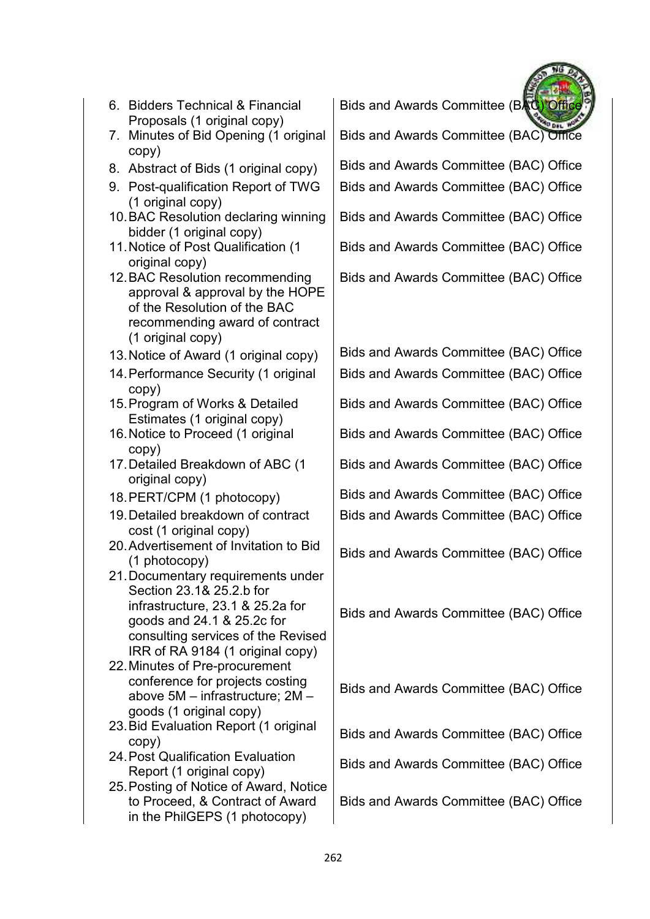| (1 original copy)                                                                                                                                                                                          |                                        |
|------------------------------------------------------------------------------------------------------------------------------------------------------------------------------------------------------------|----------------------------------------|
| 10. BAC Resolution declaring winning                                                                                                                                                                       | Bids and Awards Committee (BAC) Office |
| bidder (1 original copy)                                                                                                                                                                                   |                                        |
| 11. Notice of Post Qualification (1                                                                                                                                                                        | Bids and Awards Committee (BAC) Office |
| original copy)                                                                                                                                                                                             |                                        |
| 12. BAC Resolution recommending<br>approval & approval by the HOPE<br>of the Resolution of the BAC                                                                                                         | Bids and Awards Committee (BAC) Office |
| recommending award of contract                                                                                                                                                                             |                                        |
| (1 original copy)                                                                                                                                                                                          |                                        |
| 13. Notice of Award (1 original copy)                                                                                                                                                                      | Bids and Awards Committee (BAC) Office |
| 14. Performance Security (1 original<br>copy)                                                                                                                                                              | Bids and Awards Committee (BAC) Office |
| 15. Program of Works & Detailed<br>Estimates (1 original copy)                                                                                                                                             | Bids and Awards Committee (BAC) Office |
| 16. Notice to Proceed (1 original<br>copy)                                                                                                                                                                 | Bids and Awards Committee (BAC) Office |
| 17. Detailed Breakdown of ABC (1<br>original copy)                                                                                                                                                         | Bids and Awards Committee (BAC) Office |
| 18. PERT/CPM (1 photocopy)                                                                                                                                                                                 | Bids and Awards Committee (BAC) Office |
| 19. Detailed breakdown of contract<br>cost (1 original copy)                                                                                                                                               | Bids and Awards Committee (BAC) Office |
| 20. Advertisement of Invitation to Bid<br>(1 photocopy)                                                                                                                                                    | Bids and Awards Committee (BAC) Office |
| 21. Documentary requirements under<br>Section 23.1& 25.2.b for<br>infrastructure, 23.1 & 25.2a for<br>goods and 24.1 & 25.2c for<br>consulting services of the Revised<br>IRR of RA 9184 (1 original copy) | Bids and Awards Committee (BAC) Office |
| 22. Minutes of Pre-procurement<br>conference for projects costing<br>above 5M - infrastructure; 2M -                                                                                                       | Bids and Awards Committee (BAC) Office |
| goods (1 original copy)<br>23. Bid Evaluation Report (1 original<br>copy)                                                                                                                                  | Bids and Awards Committee (BAC) Office |

Proposals (1 original copy) 7. Minutes of Bid Opening (1 original copy)

6. Bidders Technical & Financial

- 
- 9. Post-qualification Report of TWG
- 10. BAC Resolution declaring winning
- 11. Notice of Post Qualification (1
- 12. BAC Resolution recommending
- 
- 14. Performance Security (1 original
- 15. Program of Works & Detailed
- 16. Notice to Proceed (1 original
- 17. Detailed Breakdown of ABC (1
- 
- 19. Detailed breakdown of contract
- 20. Advertisement of Invitation to Bid
- 21. Documentary requirements under
- 22. Minutes of Pre-procurement
- 23. Bid Evaluation Report (1 original
- 24. Post Qualification Evaluation
- 25. Posting of Notice of Award, Notice to Proceed, & Contract of Award in the PhilGEPS (1 photocopy)

Bids and Awards Committee (BAC

Bids and Awards Committee (BAC) Office

8. Abstract of Bids (1 original copy) | Bids and Awards Committee (BAC) Office

Bids and Awards Committee (BAC) Office

Report (1 original copy) Bids and Awards Committee (BAC) Office

Bids and Awards Committee (BAC) Office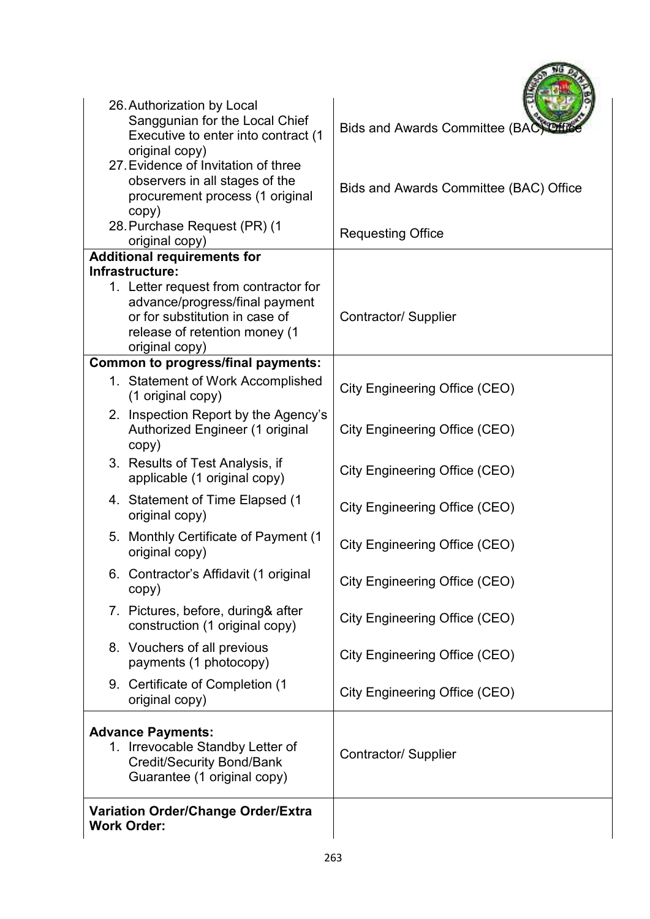| 26. Authorization by Local<br>Sanggunian for the Local Chief<br>Executive to enter into contract (1<br>original copy)                                        | Bids and Awards Committee (BAC)        |
|--------------------------------------------------------------------------------------------------------------------------------------------------------------|----------------------------------------|
| 27. Evidence of Invitation of three<br>observers in all stages of the<br>procurement process (1 original<br>copy)                                            | Bids and Awards Committee (BAC) Office |
| 28. Purchase Request (PR) (1<br>original copy)                                                                                                               | <b>Requesting Office</b>               |
| <b>Additional requirements for</b>                                                                                                                           |                                        |
| Infrastructure:                                                                                                                                              |                                        |
| 1. Letter request from contractor for<br>advance/progress/final payment<br>or for substitution in case of<br>release of retention money (1<br>original copy) | <b>Contractor/ Supplier</b>            |
| <b>Common to progress/final payments:</b>                                                                                                                    |                                        |
| 1. Statement of Work Accomplished<br>(1 original copy)                                                                                                       | City Engineering Office (CEO)          |
| 2. Inspection Report by the Agency's<br>Authorized Engineer (1 original<br>copy)                                                                             | City Engineering Office (CEO)          |
| 3. Results of Test Analysis, if<br>applicable (1 original copy)                                                                                              | City Engineering Office (CEO)          |
| 4. Statement of Time Elapsed (1<br>original copy)                                                                                                            | City Engineering Office (CEO)          |
| 5. Monthly Certificate of Payment (1<br>original copy)                                                                                                       | City Engineering Office (CEO)          |
| 6. Contractor's Affidavit (1 original<br>copy)                                                                                                               | City Engineering Office (CEO)          |
| 7. Pictures, before, during& after<br>construction (1 original copy)                                                                                         | City Engineering Office (CEO)          |
| 8. Vouchers of all previous<br>payments (1 photocopy)                                                                                                        | City Engineering Office (CEO)          |
| 9. Certificate of Completion (1<br>original copy)                                                                                                            | City Engineering Office (CEO)          |
| <b>Advance Payments:</b><br>1. Irrevocable Standby Letter of<br><b>Credit/Security Bond/Bank</b><br>Guarantee (1 original copy)                              | <b>Contractor/ Supplier</b>            |
| <b>Variation Order/Change Order/Extra</b><br><b>Work Order:</b>                                                                                              |                                        |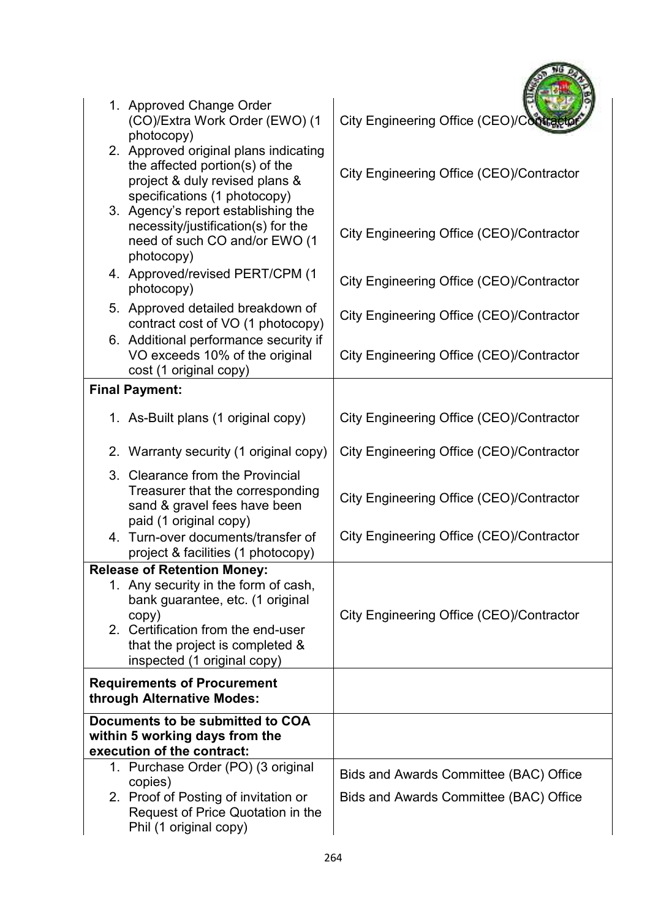| 1. Approved Change Order<br>(CO)/Extra Work Order (EWO) (1<br>photocopy)                                                                                                                  | City Engineering Office (CEO)/Cont                                               |
|-------------------------------------------------------------------------------------------------------------------------------------------------------------------------------------------|----------------------------------------------------------------------------------|
| 2. Approved original plans indicating<br>the affected portion(s) of the<br>project & duly revised plans &<br>specifications (1 photocopy)                                                 | City Engineering Office (CEO)/Contractor                                         |
| 3. Agency's report establishing the<br>necessity/justification(s) for the<br>need of such CO and/or EWO (1<br>photocopy)                                                                  | City Engineering Office (CEO)/Contractor                                         |
| 4. Approved/revised PERT/CPM (1<br>photocopy)                                                                                                                                             | City Engineering Office (CEO)/Contractor                                         |
| 5. Approved detailed breakdown of<br>contract cost of VO (1 photocopy)                                                                                                                    | City Engineering Office (CEO)/Contractor                                         |
| 6. Additional performance security if<br>VO exceeds 10% of the original<br>cost (1 original copy)                                                                                         | City Engineering Office (CEO)/Contractor                                         |
| <b>Final Payment:</b>                                                                                                                                                                     |                                                                                  |
| 1. As-Built plans (1 original copy)                                                                                                                                                       | City Engineering Office (CEO)/Contractor                                         |
| 2. Warranty security (1 original copy)                                                                                                                                                    | City Engineering Office (CEO)/Contractor                                         |
| 3. Clearance from the Provincial<br>Treasurer that the corresponding<br>sand & gravel fees have been<br>paid (1 original copy)                                                            | City Engineering Office (CEO)/Contractor                                         |
| 4. Turn-over documents/transfer of<br>project & facilities (1 photocopy)                                                                                                                  | City Engineering Office (CEO)/Contractor                                         |
| <b>Release of Retention Money:</b>                                                                                                                                                        |                                                                                  |
| 1. Any security in the form of cash,<br>bank guarantee, etc. (1 original<br>copy)<br>2. Certification from the end-user<br>that the project is completed &<br>inspected (1 original copy) | City Engineering Office (CEO)/Contractor                                         |
| <b>Requirements of Procurement</b><br>through Alternative Modes:                                                                                                                          |                                                                                  |
| Documents to be submitted to COA<br>within 5 working days from the<br>execution of the contract:                                                                                          |                                                                                  |
| 1. Purchase Order (PO) (3 original                                                                                                                                                        |                                                                                  |
| copies)<br>2. Proof of Posting of invitation or<br>Request of Price Quotation in the<br>Phil (1 original copy)                                                                            | Bids and Awards Committee (BAC) Office<br>Bids and Awards Committee (BAC) Office |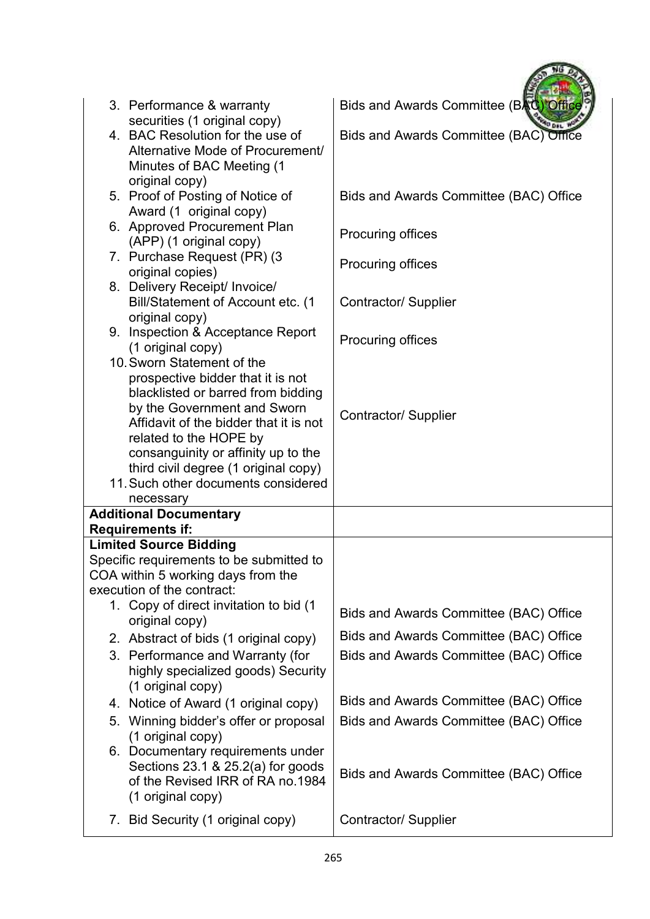| 3. Performance & warranty<br>securities (1 original copy)                                                                                                                                                                                                                                                                                   | Bids and Awards Committee (BAC) Office |
|---------------------------------------------------------------------------------------------------------------------------------------------------------------------------------------------------------------------------------------------------------------------------------------------------------------------------------------------|----------------------------------------|
| 4. BAC Resolution for the use of<br>Alternative Mode of Procurement/<br>Minutes of BAC Meeting (1<br>original copy)                                                                                                                                                                                                                         | Bids and Awards Committee (BAC) Office |
| 5. Proof of Posting of Notice of<br>Award (1 original copy)                                                                                                                                                                                                                                                                                 | Bids and Awards Committee (BAC) Office |
| 6. Approved Procurement Plan<br>(APP) (1 original copy)                                                                                                                                                                                                                                                                                     | <b>Procuring offices</b>               |
| 7. Purchase Request (PR) (3<br>original copies)<br>8. Delivery Receipt/ Invoice/                                                                                                                                                                                                                                                            | <b>Procuring offices</b>               |
| Bill/Statement of Account etc. (1<br>original copy)                                                                                                                                                                                                                                                                                         | Contractor/ Supplier                   |
| 9. Inspection & Acceptance Report<br>(1 original copy)                                                                                                                                                                                                                                                                                      | <b>Procuring offices</b>               |
| 10. Sworn Statement of the<br>prospective bidder that it is not<br>blacklisted or barred from bidding<br>by the Government and Sworn<br>Affidavit of the bidder that it is not<br>related to the HOPE by<br>consanguinity or affinity up to the<br>third civil degree (1 original copy)<br>11. Such other documents considered<br>necessary | Contractor/ Supplier                   |
| <b>Additional Documentary</b>                                                                                                                                                                                                                                                                                                               |                                        |
| <b>Requirements if:</b>                                                                                                                                                                                                                                                                                                                     |                                        |
| <b>Limited Source Bidding</b>                                                                                                                                                                                                                                                                                                               |                                        |
| Specific requirements to be submitted to                                                                                                                                                                                                                                                                                                    |                                        |
| COA within 5 working days from the<br>execution of the contract:                                                                                                                                                                                                                                                                            |                                        |
| 1. Copy of direct invitation to bid (1<br>original copy)                                                                                                                                                                                                                                                                                    | Bids and Awards Committee (BAC) Office |
| 2. Abstract of bids (1 original copy)                                                                                                                                                                                                                                                                                                       | Bids and Awards Committee (BAC) Office |
| 3. Performance and Warranty (for<br>highly specialized goods) Security<br>(1 original copy)                                                                                                                                                                                                                                                 | Bids and Awards Committee (BAC) Office |
| 4. Notice of Award (1 original copy)                                                                                                                                                                                                                                                                                                        | Bids and Awards Committee (BAC) Office |
| 5. Winning bidder's offer or proposal<br>(1 original copy)                                                                                                                                                                                                                                                                                  | Bids and Awards Committee (BAC) Office |
| 6. Documentary requirements under<br>Sections $23.1$ & $25.2(a)$ for goods<br>of the Revised IRR of RA no.1984<br>(1 original copy)                                                                                                                                                                                                         | Bids and Awards Committee (BAC) Office |
| 7. Bid Security (1 original copy)                                                                                                                                                                                                                                                                                                           | Contractor/ Supplier                   |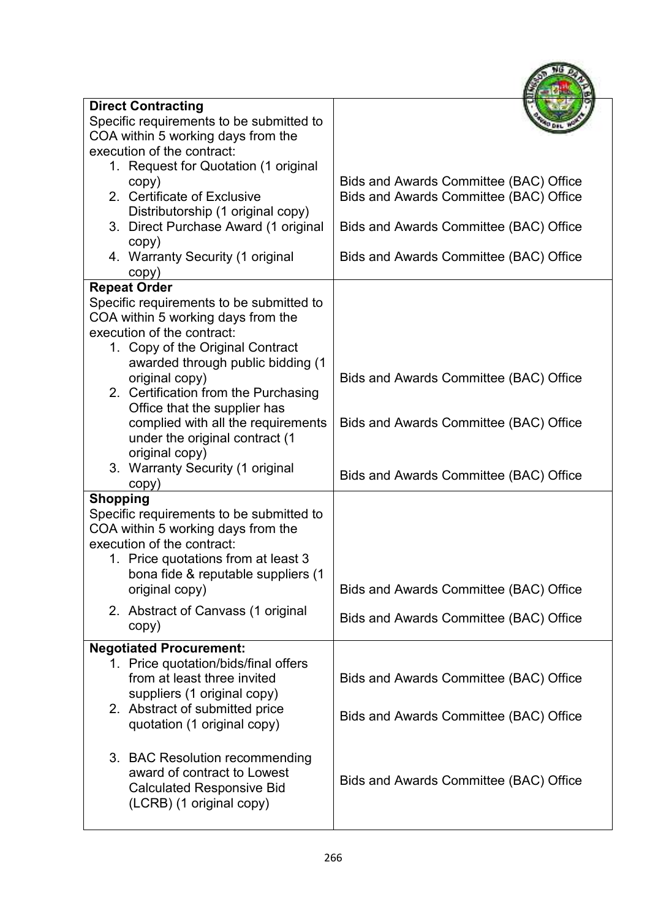| <b>Direct Contracting</b>                |                                        |
|------------------------------------------|----------------------------------------|
| Specific requirements to be submitted to |                                        |
| COA within 5 working days from the       |                                        |
| execution of the contract:               |                                        |
| 1. Request for Quotation (1 original     |                                        |
| copy)                                    | Bids and Awards Committee (BAC) Office |
| 2. Certificate of Exclusive              | Bids and Awards Committee (BAC) Office |
| Distributorship (1 original copy)        |                                        |
| 3. Direct Purchase Award (1 original     | Bids and Awards Committee (BAC) Office |
| copy)                                    |                                        |
| 4. Warranty Security (1 original         | Bids and Awards Committee (BAC) Office |
| copy)                                    |                                        |
| <b>Repeat Order</b>                      |                                        |
| Specific requirements to be submitted to |                                        |
| COA within 5 working days from the       |                                        |
| execution of the contract:               |                                        |
| 1. Copy of the Original Contract         |                                        |
| awarded through public bidding (1        |                                        |
| original copy)                           | Bids and Awards Committee (BAC) Office |
| 2. Certification from the Purchasing     |                                        |
| Office that the supplier has             |                                        |
| complied with all the requirements       | Bids and Awards Committee (BAC) Office |
| under the original contract (1           |                                        |
| original copy)                           |                                        |
| 3. Warranty Security (1 original         |                                        |
| copy)                                    | Bids and Awards Committee (BAC) Office |
| <b>Shopping</b>                          |                                        |
| Specific requirements to be submitted to |                                        |
| COA within 5 working days from the       |                                        |
| execution of the contract:               |                                        |
| 1. Price quotations from at least 3      |                                        |
| bona fide & reputable suppliers (1       |                                        |
| original copy)                           | Bids and Awards Committee (BAC) Office |
|                                          |                                        |
| 2. Abstract of Canvass (1 original       | Bids and Awards Committee (BAC) Office |
| copy)                                    |                                        |
| <b>Negotiated Procurement:</b>           |                                        |
| 1. Price quotation/bids/final offers     |                                        |
| from at least three invited              | Bids and Awards Committee (BAC) Office |
| suppliers (1 original copy)              |                                        |
| 2. Abstract of submitted price           |                                        |
| quotation (1 original copy)              | Bids and Awards Committee (BAC) Office |
|                                          |                                        |
| 3. BAC Resolution recommending           |                                        |
| award of contract to Lowest              |                                        |
| <b>Calculated Responsive Bid</b>         | Bids and Awards Committee (BAC) Office |
| (LCRB) (1 original copy)                 |                                        |
|                                          |                                        |
|                                          |                                        |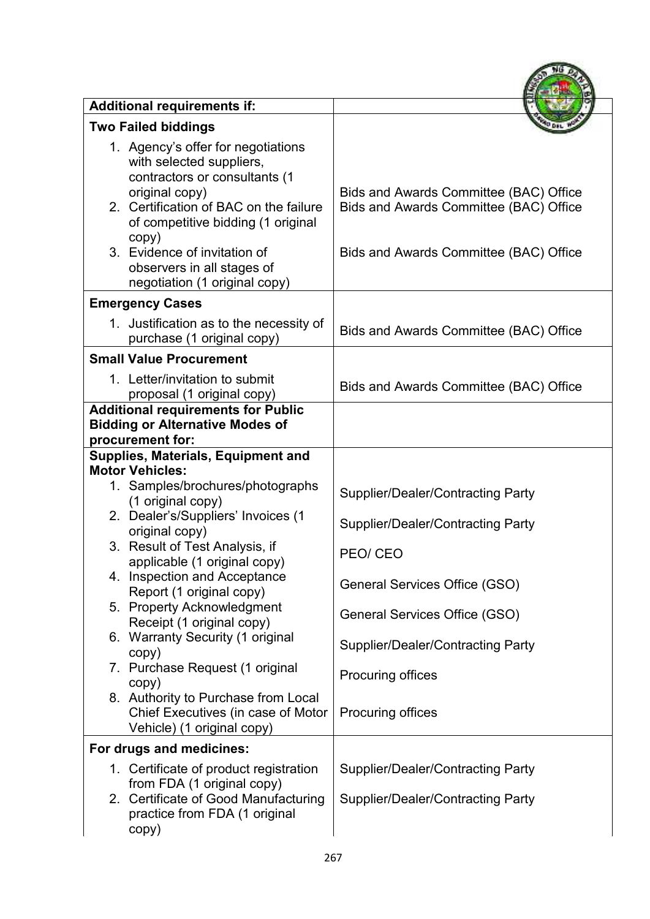| <b>Additional requirements if:</b>                                                                                                                                                                                                                                                                        |                                                                                                                            |
|-----------------------------------------------------------------------------------------------------------------------------------------------------------------------------------------------------------------------------------------------------------------------------------------------------------|----------------------------------------------------------------------------------------------------------------------------|
| <b>Two Failed biddings</b>                                                                                                                                                                                                                                                                                |                                                                                                                            |
| 1. Agency's offer for negotiations<br>with selected suppliers,<br>contractors or consultants (1<br>original copy)<br>2. Certification of BAC on the failure<br>of competitive bidding (1 original<br>copy)<br>3. Evidence of invitation of<br>observers in all stages of<br>negotiation (1 original copy) | Bids and Awards Committee (BAC) Office<br>Bids and Awards Committee (BAC) Office<br>Bids and Awards Committee (BAC) Office |
| <b>Emergency Cases</b>                                                                                                                                                                                                                                                                                    |                                                                                                                            |
| 1. Justification as to the necessity of<br>purchase (1 original copy)                                                                                                                                                                                                                                     | Bids and Awards Committee (BAC) Office                                                                                     |
| <b>Small Value Procurement</b>                                                                                                                                                                                                                                                                            |                                                                                                                            |
| 1. Letter/invitation to submit<br>proposal (1 original copy)                                                                                                                                                                                                                                              | Bids and Awards Committee (BAC) Office                                                                                     |
| <b>Additional requirements for Public</b><br><b>Bidding or Alternative Modes of</b><br>procurement for:                                                                                                                                                                                                   |                                                                                                                            |
| <b>Supplies, Materials, Equipment and</b>                                                                                                                                                                                                                                                                 |                                                                                                                            |
| <b>Motor Vehicles:</b><br>1. Samples/brochures/photographs<br>(1 original copy)<br>2. Dealer's/Suppliers' Invoices (1                                                                                                                                                                                     | <b>Supplier/Dealer/Contracting Party</b><br><b>Supplier/Dealer/Contracting Party</b>                                       |
| original copy)<br>Result of Test Analysis, if<br>applicable (1 original copy)                                                                                                                                                                                                                             | PEO/CEO                                                                                                                    |
| 4. Inspection and Acceptance<br>Report (1 original copy)                                                                                                                                                                                                                                                  | General Services Office (GSO)                                                                                              |
| 5. Property Acknowledgment<br>Receipt (1 original copy)                                                                                                                                                                                                                                                   | General Services Office (GSO)                                                                                              |
| 6. Warranty Security (1 original<br>copy)                                                                                                                                                                                                                                                                 | <b>Supplier/Dealer/Contracting Party</b>                                                                                   |
| 7. Purchase Request (1 original<br>copy)                                                                                                                                                                                                                                                                  | Procuring offices                                                                                                          |
| 8. Authority to Purchase from Local<br>Chief Executives (in case of Motor<br>Vehicle) (1 original copy)                                                                                                                                                                                                   | Procuring offices                                                                                                          |
| For drugs and medicines:                                                                                                                                                                                                                                                                                  |                                                                                                                            |
| 1. Certificate of product registration<br>from FDA (1 original copy)                                                                                                                                                                                                                                      | <b>Supplier/Dealer/Contracting Party</b>                                                                                   |
| 2. Certificate of Good Manufacturing<br>practice from FDA (1 original<br>copy)                                                                                                                                                                                                                            | <b>Supplier/Dealer/Contracting Party</b>                                                                                   |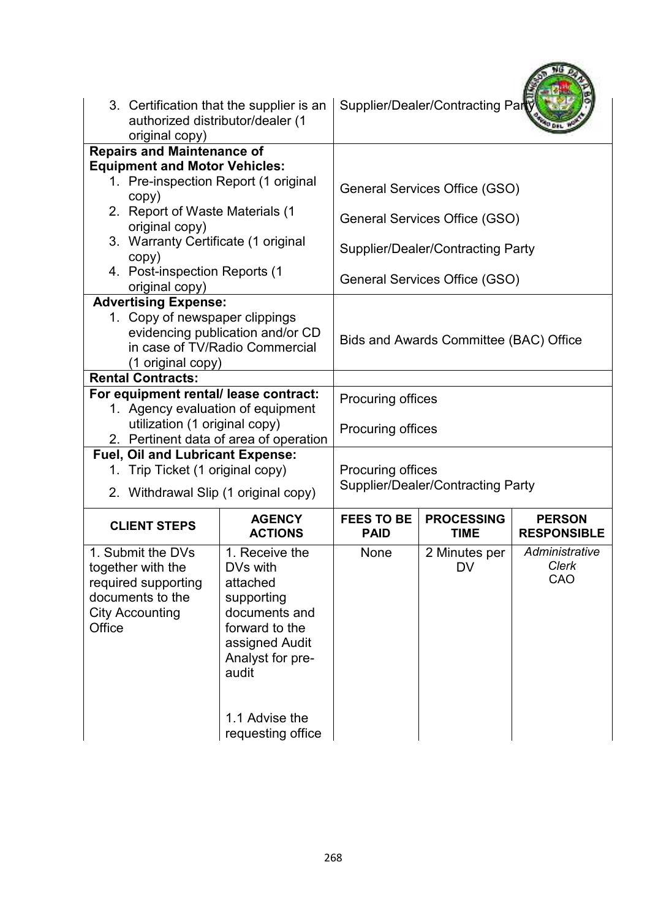| 3. Certification that the supplier is an<br>authorized distributor/dealer (1<br>original copy)                                                           |                                                                                                                                                                               |                                                      | Supplier/Dealer/Contracting Par |                                     |
|----------------------------------------------------------------------------------------------------------------------------------------------------------|-------------------------------------------------------------------------------------------------------------------------------------------------------------------------------|------------------------------------------------------|---------------------------------|-------------------------------------|
| <b>Repairs and Maintenance of</b>                                                                                                                        |                                                                                                                                                                               |                                                      |                                 |                                     |
| <b>Equipment and Motor Vehicles:</b><br>1. Pre-inspection Report (1 original<br>copy)                                                                    |                                                                                                                                                                               |                                                      | General Services Office (GSO)   |                                     |
| 2. Report of Waste Materials (1<br>original copy)                                                                                                        |                                                                                                                                                                               |                                                      | General Services Office (GSO)   |                                     |
| 3. Warranty Certificate (1 original<br>copy)                                                                                                             |                                                                                                                                                                               | <b>Supplier/Dealer/Contracting Party</b>             |                                 |                                     |
| 4. Post-inspection Reports (1<br>original copy)                                                                                                          |                                                                                                                                                                               | General Services Office (GSO)                        |                                 |                                     |
| <b>Advertising Expense:</b><br>1. Copy of newspaper clippings<br>evidencing publication and/or CD<br>in case of TV/Radio Commercial<br>(1 original copy) |                                                                                                                                                                               | Bids and Awards Committee (BAC) Office               |                                 |                                     |
| <b>Rental Contracts:</b>                                                                                                                                 |                                                                                                                                                                               |                                                      |                                 |                                     |
| For equipment rental/ lease contract:<br>1. Agency evaluation of equipment<br>utilization (1 original copy)<br>2. Pertinent data of area of operation    |                                                                                                                                                                               | <b>Procuring offices</b><br><b>Procuring offices</b> |                                 |                                     |
| <b>Fuel, Oil and Lubricant Expense:</b>                                                                                                                  |                                                                                                                                                                               |                                                      |                                 |                                     |
| 1. Trip Ticket (1 original copy)                                                                                                                         |                                                                                                                                                                               | <b>Procuring offices</b>                             |                                 |                                     |
| 2. Withdrawal Slip (1 original copy)                                                                                                                     |                                                                                                                                                                               | <b>Supplier/Dealer/Contracting Party</b>             |                                 |                                     |
| <b>CLIENT STEPS</b>                                                                                                                                      | <b>AGENCY</b><br><b>ACTIONS</b>                                                                                                                                               | <b>FEES TO BE</b><br><b>PAID</b>                     | <b>PROCESSING</b><br>TIME       | <b>PERSON</b><br><b>RESPONSIBLE</b> |
| 1. Submit the DVs<br>together with the<br>required supporting<br>documents to the<br><b>City Accounting</b><br>Office                                    | 1. Receive the<br>DVs with<br>attached<br>supporting<br>documents and<br>forward to the<br>assigned Audit<br>Analyst for pre-<br>audit<br>1.1 Advise the<br>requesting office | None                                                 | 2 Minutes per<br><b>DV</b>      | Administrative<br>Clerk<br>CAO      |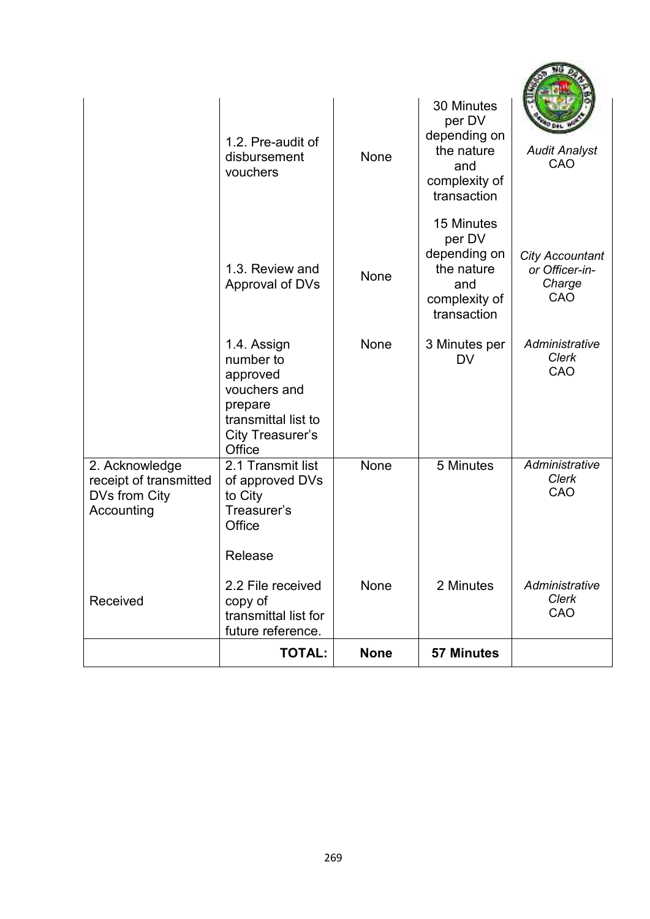|                                                                         | 1.2. Pre-audit of<br>disbursement<br>vouchers                                                                        | None        | 30 Minutes<br>per DV<br>depending on<br>the nature<br>and<br>complexity of<br>transaction | <b>Audit Analyst</b><br>CAO                               |
|-------------------------------------------------------------------------|----------------------------------------------------------------------------------------------------------------------|-------------|-------------------------------------------------------------------------------------------|-----------------------------------------------------------|
|                                                                         | 1.3. Review and<br>Approval of DVs                                                                                   | None        | 15 Minutes<br>per DV<br>depending on<br>the nature<br>and<br>complexity of<br>transaction | <b>City Accountant</b><br>or Officer-in-<br>Charge<br>CAO |
|                                                                         | 1.4. Assign<br>number to<br>approved<br>vouchers and<br>prepare<br>transmittal list to<br>City Treasurer's<br>Office | <b>None</b> | 3 Minutes per<br><b>DV</b>                                                                | Administrative<br><b>Clerk</b><br>CAO                     |
| 2. Acknowledge<br>receipt of transmitted<br>DVs from City<br>Accounting | 2.1 Transmit list<br>of approved DVs<br>to City<br>Treasurer's<br>Office                                             | None        | 5 Minutes                                                                                 | Administrative<br>Clerk<br>CAO                            |
| Received                                                                | Release<br>2.2 File received<br>copy of<br>transmittal list for<br>future reference.                                 | None        | 2 Minutes                                                                                 | Administrative<br>Clerk<br>CAO                            |
|                                                                         | <b>TOTAL:</b>                                                                                                        | <b>None</b> | <b>57 Minutes</b>                                                                         |                                                           |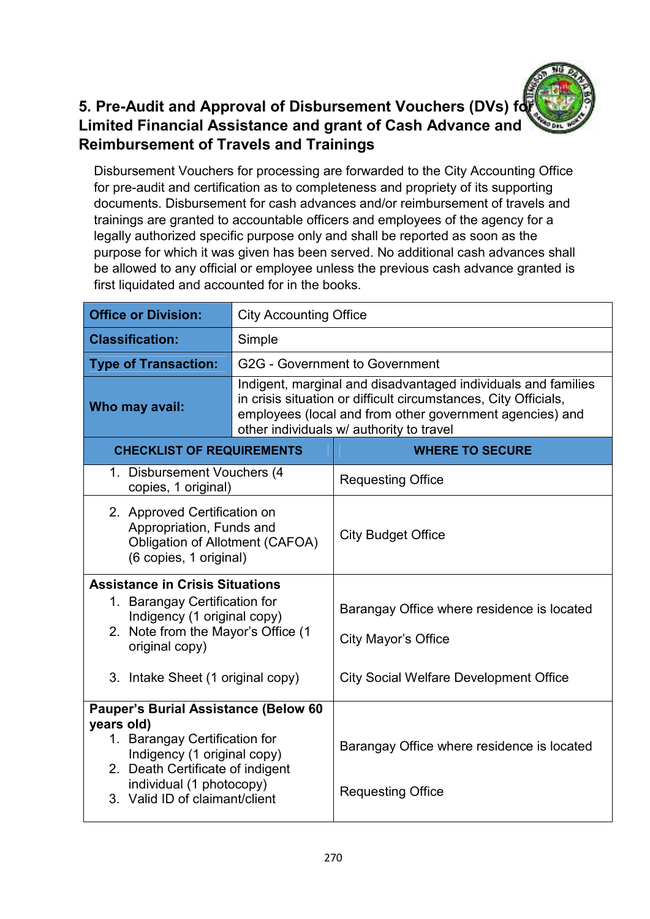#### **5. Pre-Audit and Approval of Disbursement Vouchers (DVs) for Limited Financial Assistance and grant of Cash Advance and Reimbursement of Travels and Trainings**

Disbursement Vouchers for processing are forwarded to the City Accounting Office for pre-audit and certification as to completeness and propriety of its supporting documents. Disbursement for cash advances and/or reimbursement of travels and trainings are granted to accountable officers and employees of the agency for a legally authorized specific purpose only and shall be reported as soon as the purpose for which it was given has been served. No additional cash advances shall be allowed to any official or employee unless the previous cash advance granted is first liquidated and accounted for in the books.

| <b>Office or Division:</b>                                                                                                                                                                                                  | <b>City Accounting Office</b>                                                                                                                                                                                                            |                                                                                                                           |  |
|-----------------------------------------------------------------------------------------------------------------------------------------------------------------------------------------------------------------------------|------------------------------------------------------------------------------------------------------------------------------------------------------------------------------------------------------------------------------------------|---------------------------------------------------------------------------------------------------------------------------|--|
| <b>Classification:</b>                                                                                                                                                                                                      | Simple                                                                                                                                                                                                                                   |                                                                                                                           |  |
| <b>Type of Transaction:</b>                                                                                                                                                                                                 |                                                                                                                                                                                                                                          | G2G - Government to Government                                                                                            |  |
| Who may avail:                                                                                                                                                                                                              | Indigent, marginal and disadvantaged individuals and families<br>in crisis situation or difficult circumstances, City Officials,<br>employees (local and from other government agencies) and<br>other individuals w/ authority to travel |                                                                                                                           |  |
| <b>CHECKLIST OF REQUIREMENTS</b>                                                                                                                                                                                            |                                                                                                                                                                                                                                          | <b>WHERE TO SECURE</b>                                                                                                    |  |
| 1. Disbursement Vouchers (4<br>copies, 1 original)                                                                                                                                                                          |                                                                                                                                                                                                                                          | <b>Requesting Office</b>                                                                                                  |  |
| 2. Approved Certification on<br>Appropriation, Funds and<br><b>Obligation of Allotment (CAFOA)</b><br>(6 copies, 1 original)                                                                                                |                                                                                                                                                                                                                                          | <b>City Budget Office</b>                                                                                                 |  |
| <b>Assistance in Crisis Situations</b><br>1. Barangay Certification for<br>Indigency (1 original copy)<br>2. Note from the Mayor's Office (1<br>original copy)<br>3. Intake Sheet (1 original copy)                         |                                                                                                                                                                                                                                          | Barangay Office where residence is located<br><b>City Mayor's Office</b><br><b>City Social Welfare Development Office</b> |  |
| <b>Pauper's Burial Assistance (Below 60</b><br>years old)<br>1. Barangay Certification for<br>Indigency (1 original copy)<br>2. Death Certificate of indigent<br>individual (1 photocopy)<br>3. Valid ID of claimant/client |                                                                                                                                                                                                                                          | Barangay Office where residence is located<br><b>Requesting Office</b>                                                    |  |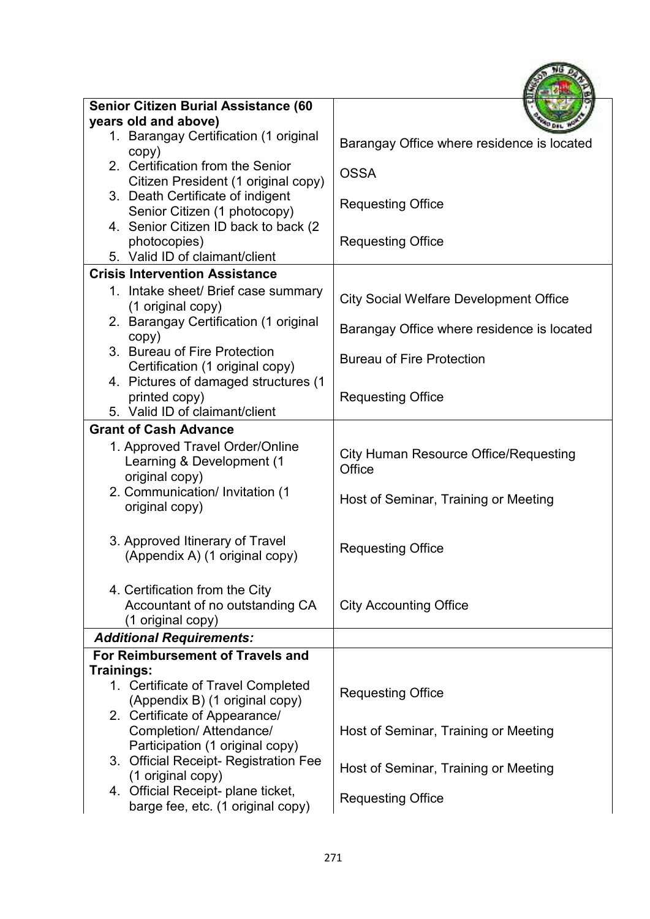| <b>Senior Citizen Burial Assistance (60</b>                                                 |                                                        |
|---------------------------------------------------------------------------------------------|--------------------------------------------------------|
| years old and above)                                                                        |                                                        |
| 1. Barangay Certification (1 original<br>copy)                                              | Barangay Office where residence is located             |
| 2. Certification from the Senior<br>Citizen President (1 original copy)                     | <b>OSSA</b>                                            |
| 3. Death Certificate of indigent<br>Senior Citizen (1 photocopy)                            | <b>Requesting Office</b>                               |
| 4. Senior Citizen ID back to back (2<br>photocopies)                                        | <b>Requesting Office</b>                               |
| 5. Valid ID of claimant/client                                                              |                                                        |
| <b>Crisis Intervention Assistance</b>                                                       |                                                        |
| 1. Intake sheet/ Brief case summary<br>(1 original copy)                                    | <b>City Social Welfare Development Office</b>          |
| 2. Barangay Certification (1 original<br>copy)                                              | Barangay Office where residence is located             |
| 3. Bureau of Fire Protection<br>Certification (1 original copy)                             | <b>Bureau of Fire Protection</b>                       |
| 4. Pictures of damaged structures (1<br>printed copy)                                       | <b>Requesting Office</b>                               |
| 5. Valid ID of claimant/client                                                              |                                                        |
| <b>Grant of Cash Advance</b>                                                                |                                                        |
| 1. Approved Travel Order/Online<br>Learning & Development (1<br>original copy)              | <b>City Human Resource Office/Requesting</b><br>Office |
| 2. Communication/ Invitation (1<br>original copy)                                           | Host of Seminar, Training or Meeting                   |
| 3. Approved Itinerary of Travel<br>(Appendix A) (1 original copy)                           | <b>Requesting Office</b>                               |
| 4. Certification from the City<br>Accountant of no outstanding CA<br>(1 original copy)      | <b>City Accounting Office</b>                          |
| <b>Additional Requirements:</b>                                                             |                                                        |
| For Reimbursement of Travels and                                                            |                                                        |
| Trainings:                                                                                  |                                                        |
| 1. Certificate of Travel Completed<br>(Appendix B) (1 original copy)                        | <b>Requesting Office</b>                               |
| 2. Certificate of Appearance/<br>Completion/ Attendance/<br>Participation (1 original copy) | Host of Seminar, Training or Meeting                   |
| 3. Official Receipt- Registration Fee<br>(1 original copy)                                  | Host of Seminar, Training or Meeting                   |
| 4. Official Receipt- plane ticket,<br>barge fee, etc. (1 original copy)                     | <b>Requesting Office</b>                               |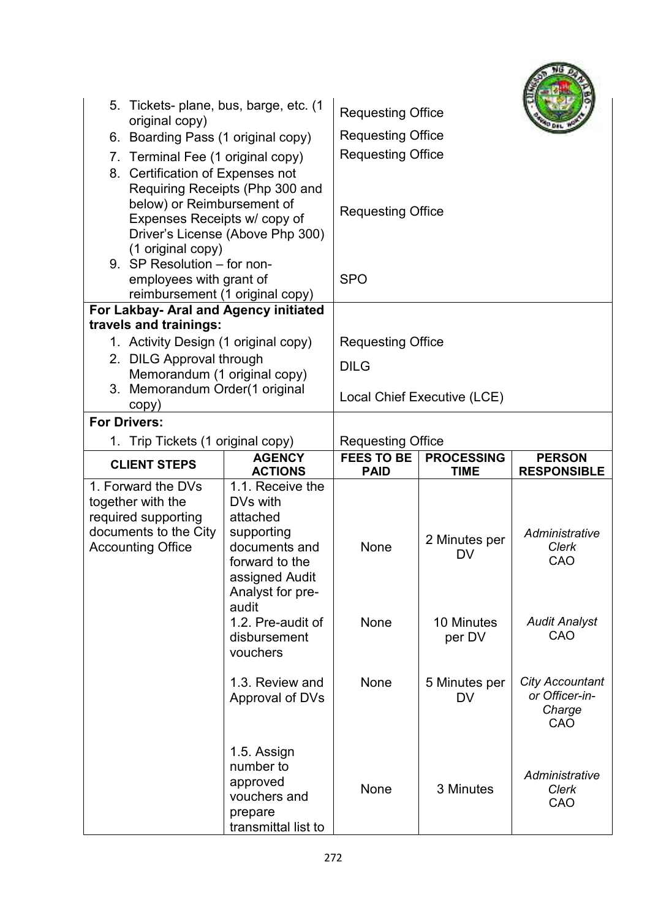| 5. Tickets- plane, bus, barge, etc. (1<br>original copy)<br>6. Boarding Pass (1 original copy)<br>7. Terminal Fee (1 original copy)<br>Certification of Expenses not<br>8.<br>below) or Reimbursement of<br>Expenses Receipts w/ copy of<br>(1 original copy)<br>9. SP Resolution - for non- | Requiring Receipts (Php 300 and<br>Driver's License (Above Php 300)                                                                                           | <b>Requesting Office</b><br><b>Requesting Office</b><br><b>Requesting Office</b><br><b>Requesting Office</b> |                                   |                                                           |
|----------------------------------------------------------------------------------------------------------------------------------------------------------------------------------------------------------------------------------------------------------------------------------------------|---------------------------------------------------------------------------------------------------------------------------------------------------------------|--------------------------------------------------------------------------------------------------------------|-----------------------------------|-----------------------------------------------------------|
| employees with grant of<br>reimbursement (1 original copy)                                                                                                                                                                                                                                   |                                                                                                                                                               | <b>SPO</b>                                                                                                   |                                   |                                                           |
| For Lakbay- Aral and Agency initiated                                                                                                                                                                                                                                                        |                                                                                                                                                               |                                                                                                              |                                   |                                                           |
| travels and trainings:                                                                                                                                                                                                                                                                       |                                                                                                                                                               |                                                                                                              |                                   |                                                           |
| 1. Activity Design (1 original copy)                                                                                                                                                                                                                                                         |                                                                                                                                                               | <b>Requesting Office</b>                                                                                     |                                   |                                                           |
| 2. DILG Approval through<br>Memorandum (1 original copy)                                                                                                                                                                                                                                     |                                                                                                                                                               | <b>DILG</b>                                                                                                  |                                   |                                                           |
| 3. Memorandum Order(1 original<br>copy)                                                                                                                                                                                                                                                      |                                                                                                                                                               |                                                                                                              | Local Chief Executive (LCE)       |                                                           |
| <b>For Drivers:</b>                                                                                                                                                                                                                                                                          |                                                                                                                                                               |                                                                                                              |                                   |                                                           |
| Trip Tickets (1 original copy)<br>1.                                                                                                                                                                                                                                                         |                                                                                                                                                               | <b>Requesting Office</b>                                                                                     |                                   |                                                           |
| <b>CLIENT STEPS</b>                                                                                                                                                                                                                                                                          | <b>AGENCY</b><br><b>ACTIONS</b>                                                                                                                               | <b>FEES TO BE</b><br><b>PAID</b>                                                                             | <b>PROCESSING</b><br><b>TIME</b>  | <b>PERSON</b><br><b>RESPONSIBLE</b>                       |
| 1. Forward the DVs<br>together with the<br>required supporting<br>documents to the City<br><b>Accounting Office</b>                                                                                                                                                                          | 1.1. Receive the<br>DVs with<br>attached<br>supporting<br>documents and<br>forward to the<br>assigned Audit<br>Analyst for pre-<br>audit<br>1.2. Pre-audit of | None<br>None                                                                                                 | 2 Minutes per<br>DV<br>10 Minutes | Administrative<br>Clerk<br>CAO<br><b>Audit Analyst</b>    |
|                                                                                                                                                                                                                                                                                              | disbursement<br>vouchers                                                                                                                                      |                                                                                                              | per DV                            | CAO                                                       |
|                                                                                                                                                                                                                                                                                              | 1.3. Review and<br>Approval of DVs                                                                                                                            | None                                                                                                         | 5 Minutes per<br><b>DV</b>        | <b>City Accountant</b><br>or Officer-in-<br>Charge<br>CAO |
|                                                                                                                                                                                                                                                                                              | 1.5. Assign<br>number to<br>approved<br>vouchers and<br>prepare<br>transmittal list to                                                                        | None                                                                                                         | 3 Minutes                         | Administrative<br>Clerk<br>CAO                            |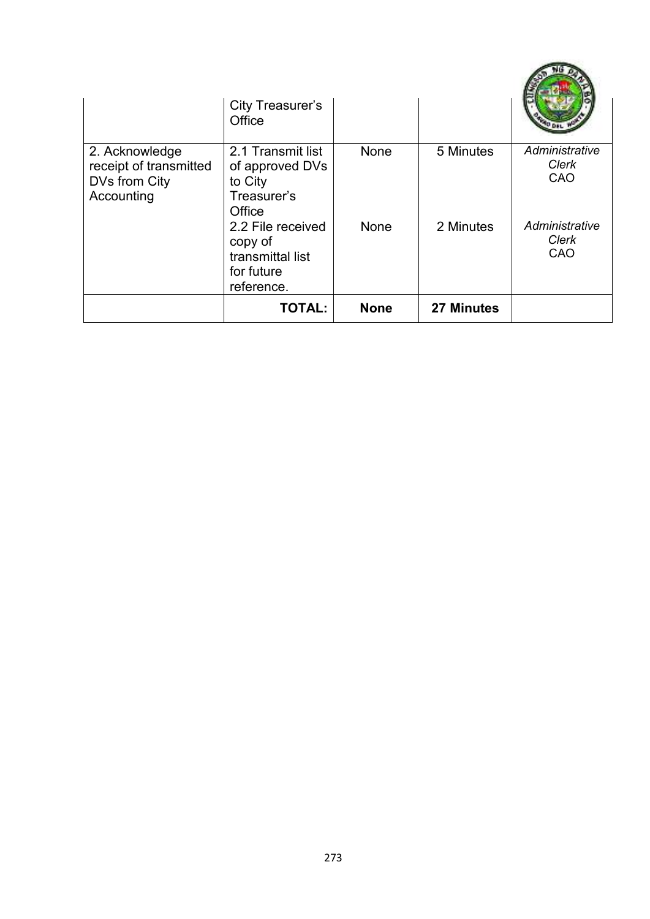|                                                                         | <b>City Treasurer's</b><br>Office                                            |             |                   |                                       |
|-------------------------------------------------------------------------|------------------------------------------------------------------------------|-------------|-------------------|---------------------------------------|
| 2. Acknowledge<br>receipt of transmitted<br>DVs from City<br>Accounting | 2.1 Transmit list<br>of approved DVs<br>to City<br>Treasurer's<br>Office     | <b>None</b> | 5 Minutes         | Administrative<br>Clerk<br>CAO        |
|                                                                         | 2.2 File received<br>copy of<br>transmittal list<br>for future<br>reference. | <b>None</b> | 2 Minutes         | Administrative<br><b>Clerk</b><br>CAO |
|                                                                         | <b>TOTAL:</b>                                                                | <b>None</b> | <b>27 Minutes</b> |                                       |

**CONTRACTOR**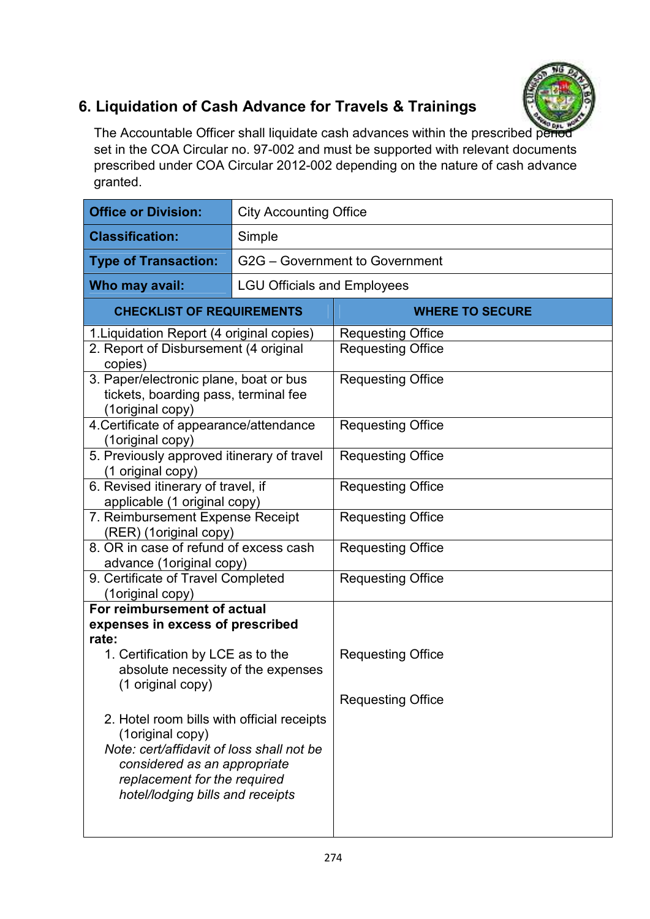

## **6. Liquidation of Cash Advance for Travels & Trainings**

The Accountable Officer shall liquidate cash advances within the prescribed period set in the COA Circular no. 97-002 and must be supported with relevant documents prescribed under COA Circular 2012-002 depending on the nature of cash advance granted.

| <b>Office or Division:</b>                                                                                                                                                                                      | <b>City Accounting Office</b>      |                          |  |
|-----------------------------------------------------------------------------------------------------------------------------------------------------------------------------------------------------------------|------------------------------------|--------------------------|--|
| <b>Classification:</b>                                                                                                                                                                                          | Simple                             |                          |  |
| <b>Type of Transaction:</b>                                                                                                                                                                                     | G2G - Government to Government     |                          |  |
| Who may avail:                                                                                                                                                                                                  | <b>LGU Officials and Employees</b> |                          |  |
| <b>CHECKLIST OF REQUIREMENTS</b>                                                                                                                                                                                |                                    | <b>WHERE TO SECURE</b>   |  |
| 1. Liquidation Report (4 original copies)                                                                                                                                                                       |                                    | <b>Requesting Office</b> |  |
| 2. Report of Disbursement (4 original<br>copies)                                                                                                                                                                |                                    | <b>Requesting Office</b> |  |
| 3. Paper/electronic plane, boat or bus<br>tickets, boarding pass, terminal fee<br>(1original copy)                                                                                                              |                                    | <b>Requesting Office</b> |  |
| 4. Certificate of appearance/attendance<br>(1original copy)                                                                                                                                                     |                                    | <b>Requesting Office</b> |  |
| 5. Previously approved itinerary of travel<br>(1 original copy)                                                                                                                                                 |                                    | <b>Requesting Office</b> |  |
| 6. Revised itinerary of travel, if<br>applicable (1 original copy)                                                                                                                                              |                                    | <b>Requesting Office</b> |  |
| 7. Reimbursement Expense Receipt<br>(RER) (1original copy)                                                                                                                                                      |                                    | <b>Requesting Office</b> |  |
| 8. OR in case of refund of excess cash<br>advance (1original copy)                                                                                                                                              |                                    | <b>Requesting Office</b> |  |
| 9. Certificate of Travel Completed<br>(1original copy)                                                                                                                                                          |                                    | <b>Requesting Office</b> |  |
| For reimbursement of actual                                                                                                                                                                                     |                                    |                          |  |
| expenses in excess of prescribed<br>rate:                                                                                                                                                                       |                                    |                          |  |
| 1. Certification by LCE as to the<br>absolute necessity of the expenses<br>(1 original copy)                                                                                                                    |                                    | <b>Requesting Office</b> |  |
|                                                                                                                                                                                                                 |                                    | <b>Requesting Office</b> |  |
| 2. Hotel room bills with official receipts<br>(1original copy)<br>Note: cert/affidavit of loss shall not be<br>considered as an appropriate<br>replacement for the required<br>hotel/lodging bills and receipts |                                    |                          |  |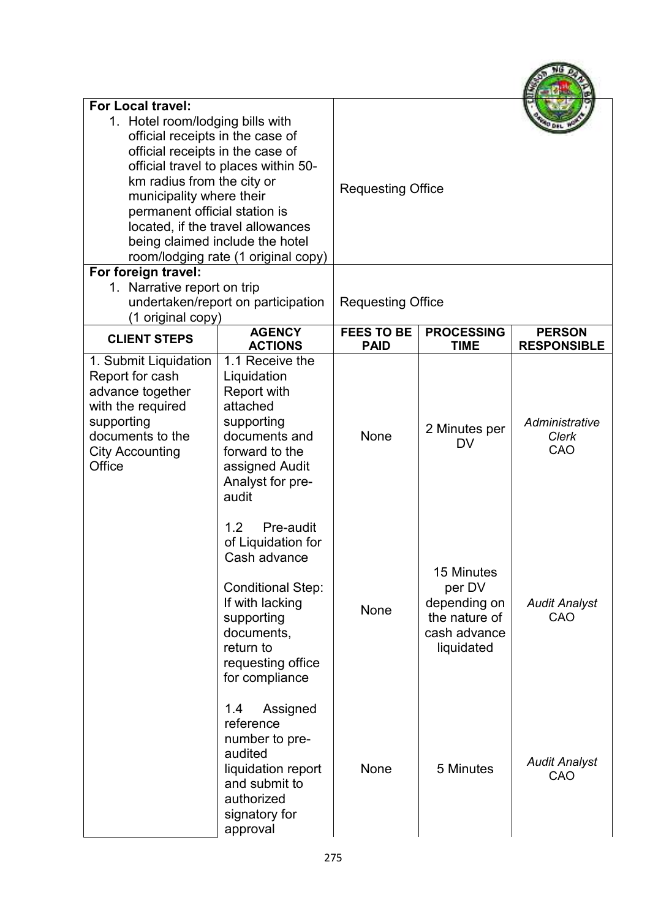| <b>For Local travel:</b><br>1. Hotel room/lodging bills with<br>official receipts in the case of<br>official receipts in the case of<br>km radius from the city or<br>municipality where their<br>permanent official station is | official travel to places within 50-<br>located, if the travel allowances<br>being claimed include the hotel<br>room/lodging rate (1 original copy)                                   | <b>Requesting Office</b>         |                                                                                     |                                       |
|---------------------------------------------------------------------------------------------------------------------------------------------------------------------------------------------------------------------------------|---------------------------------------------------------------------------------------------------------------------------------------------------------------------------------------|----------------------------------|-------------------------------------------------------------------------------------|---------------------------------------|
| For foreign travel:<br>1. Narrative report on trip<br>(1 original copy)                                                                                                                                                         | undertaken/report on participation                                                                                                                                                    | <b>Requesting Office</b>         |                                                                                     |                                       |
| <b>CLIENT STEPS</b>                                                                                                                                                                                                             | <b>AGENCY</b><br><b>ACTIONS</b>                                                                                                                                                       | <b>FEES TO BE</b><br><b>PAID</b> | <b>PROCESSING</b><br><b>TIME</b>                                                    | <b>PERSON</b><br><b>RESPONSIBLE</b>   |
| 1. Submit Liquidation<br>Report for cash<br>advance together<br>with the required<br>supporting<br>documents to the<br><b>City Accounting</b><br>Office                                                                         | 1.1 Receive the<br>Liquidation<br><b>Report with</b><br>attached<br>supporting<br>documents and<br>forward to the<br>assigned Audit<br>Analyst for pre-<br>audit                      | <b>None</b>                      | 2 Minutes per<br><b>DV</b>                                                          | Administrative<br><b>Clerk</b><br>CAO |
|                                                                                                                                                                                                                                 | 1.2<br>Pre-audit<br>of Liquidation for<br>Cash advance<br><b>Conditional Step:</b><br>If with lacking<br>supporting<br>documents,<br>return to<br>requesting office<br>for compliance | <b>None</b>                      | 15 Minutes<br>per DV<br>depending on<br>the nature of<br>cash advance<br>liquidated | <b>Audit Analyst</b><br>CAO           |
|                                                                                                                                                                                                                                 | 1.4<br>Assigned<br>reference<br>number to pre-<br>audited<br>liquidation report<br>and submit to<br>authorized<br>signatory for<br>approval                                           | <b>None</b>                      | 5 Minutes                                                                           | <b>Audit Analyst</b><br>CAO           |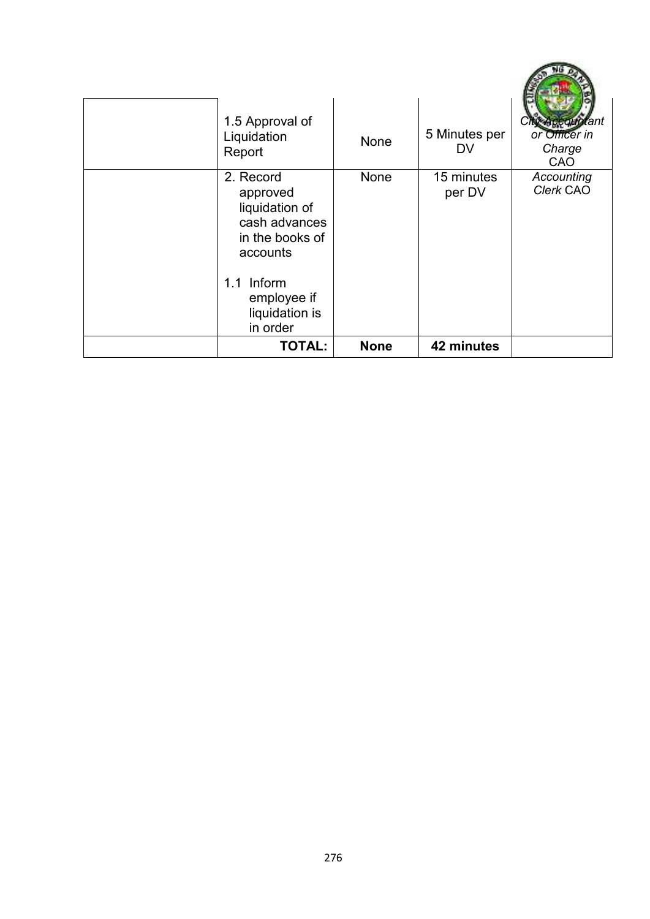| 1.5 Approval of<br>Liquidation<br>Report                                                | None        | 5 Minutes per<br>DV  | Accountant<br>or Officer in<br>Charge<br>CAO |
|-----------------------------------------------------------------------------------------|-------------|----------------------|----------------------------------------------|
| 2. Record<br>approved<br>liquidation of<br>cash advances<br>in the books of<br>accounts | None        | 15 minutes<br>per DV | Accounting<br>Clerk CAO                      |
| 1.1 Inform<br>employee if<br>liquidation is<br>in order                                 |             |                      |                                              |
| <b>TOTAL:</b>                                                                           | <b>None</b> | 42 minutes           |                                              |

œ

×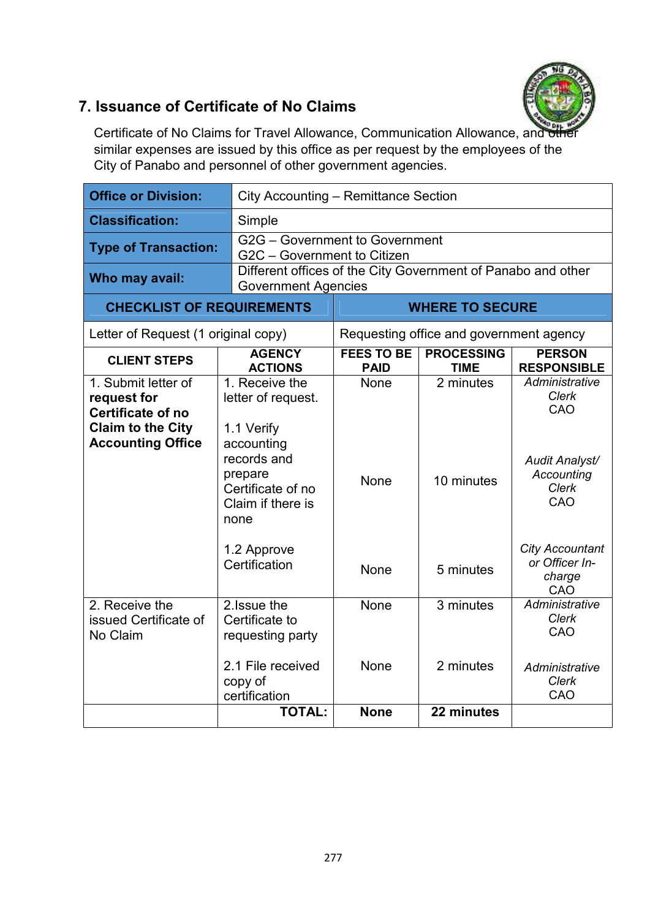

#### **7. Issuance of Certificate of No Claims**

Certificate of No Claims for Travel Allowance, Communication Allowance, and similar expenses are issued by this office as per request by the employees of the City of Panabo and personnel of other government agencies.

| <b>Office or Division:</b>                                                                                      |                                                                                                                                                             | City Accounting - Remittance Section                                                       |                                         |                                                                                                          |  |
|-----------------------------------------------------------------------------------------------------------------|-------------------------------------------------------------------------------------------------------------------------------------------------------------|--------------------------------------------------------------------------------------------|-----------------------------------------|----------------------------------------------------------------------------------------------------------|--|
| <b>Classification:</b>                                                                                          | Simple                                                                                                                                                      |                                                                                            |                                         |                                                                                                          |  |
| <b>Type of Transaction:</b>                                                                                     |                                                                                                                                                             | G2G - Government to Government<br>G2C - Government to Citizen                              |                                         |                                                                                                          |  |
| Who may avail:                                                                                                  |                                                                                                                                                             | Different offices of the City Government of Panabo and other<br><b>Government Agencies</b> |                                         |                                                                                                          |  |
| <b>CHECKLIST OF REQUIREMENTS</b>                                                                                |                                                                                                                                                             |                                                                                            | <b>WHERE TO SECURE</b>                  |                                                                                                          |  |
| Letter of Request (1 original copy)                                                                             |                                                                                                                                                             |                                                                                            | Requesting office and government agency |                                                                                                          |  |
| <b>CLIENT STEPS</b>                                                                                             | <b>AGENCY</b><br><b>ACTIONS</b>                                                                                                                             | <b>FEES TO BE</b><br><b>PAID</b>                                                           | <b>PROCESSING</b><br><b>TIME</b>        | <b>PERSON</b><br><b>RESPONSIBLE</b>                                                                      |  |
| 1. Submit letter of<br>request for<br>Certificate of no<br><b>Claim to the City</b><br><b>Accounting Office</b> | 1. Receive the<br>letter of request.<br>1.1 Verify<br>accounting<br>records and<br>prepare<br>Certificate of no<br>Claim if there is<br>none<br>1.2 Approve | <b>None</b><br><b>None</b>                                                                 | 2 minutes<br>10 minutes                 | Administrative<br>Clerk<br>CAO<br>Audit Analyst/<br>Accounting<br>Clerk<br>CAO<br><b>City Accountant</b> |  |
|                                                                                                                 | Certification                                                                                                                                               | <b>None</b>                                                                                | 5 minutes                               | or Officer In-<br>charge<br>CAO                                                                          |  |
| 2. Receive the<br>issued Certificate of<br>No Claim                                                             | 2. Issue the<br>Certificate to<br>requesting party                                                                                                          | <b>None</b>                                                                                | $\overline{3}$ minutes                  | Administrative<br><b>Clerk</b><br>CAO                                                                    |  |
|                                                                                                                 | 2.1 File received<br>copy of<br>certification                                                                                                               | None                                                                                       | 2 minutes                               | Administrative<br>Clerk<br>CAO                                                                           |  |
|                                                                                                                 | <b>TOTAL:</b>                                                                                                                                               | <b>None</b>                                                                                | 22 minutes                              |                                                                                                          |  |